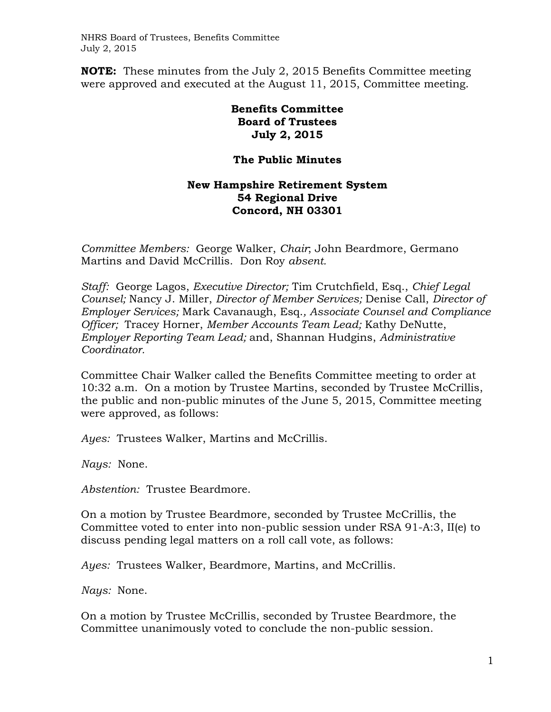NHRS Board of Trustees, Benefits Committee July 2, 2015

**NOTE:** These minutes from the July 2, 2015 Benefits Committee meeting were approved and executed at the August 11, 2015, Committee meeting.

> **Benefits Committee Board of Trustees July 2, 2015**

## **The Public Minutes**

## **New Hampshire Retirement System 54 Regional Drive Concord, NH 03301**

*Committee Members:* George Walker, *Chair*; John Beardmore, Germano Martins and David McCrillis. Don Roy *absent.* 

*Staff:* George Lagos, *Executive Director;* Tim Crutchfield, Esq., *Chief Legal Counsel;* Nancy J. Miller, *Director of Member Services;* Denise Call, *Director of Employer Services;* Mark Cavanaugh, Esq.*, Associate Counsel and Compliance Officer;* Tracey Horner, *Member Accounts Team Lead;* Kathy DeNutte, *Employer Reporting Team Lead;* and, Shannan Hudgins, *Administrative Coordinator.* 

Committee Chair Walker called the Benefits Committee meeting to order at 10:32 a.m. On a motion by Trustee Martins, seconded by Trustee McCrillis, the public and non-public minutes of the June 5, 2015, Committee meeting were approved, as follows:

*Ayes:* Trustees Walker, Martins and McCrillis.

*Nays:* None.

*Abstention:* Trustee Beardmore.

On a motion by Trustee Beardmore, seconded by Trustee McCrillis, the Committee voted to enter into non-public session under RSA 91-A:3, II(e) to discuss pending legal matters on a roll call vote, as follows:

*Ayes:* Trustees Walker, Beardmore, Martins, and McCrillis.

*Nays:* None.

On a motion by Trustee McCrillis, seconded by Trustee Beardmore, the Committee unanimously voted to conclude the non-public session.